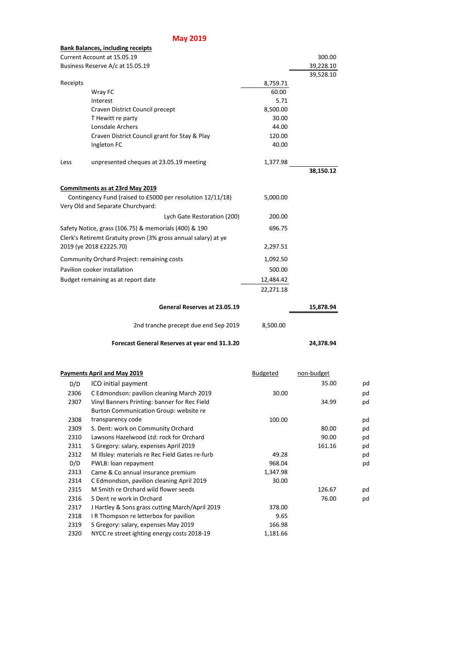## **May 2019**

|                                                                | <b>Bank Balances, including receipts</b>              |           |           |
|----------------------------------------------------------------|-------------------------------------------------------|-----------|-----------|
| Current Account at 15.05.19                                    | 300.00                                                |           |           |
| Business Reserve A/c at 15.05.19                               |                                                       |           | 39,228.10 |
|                                                                |                                                       |           | 39,528.10 |
| Receipts                                                       |                                                       | 8,759.71  |           |
|                                                                | Wray FC                                               | 60.00     |           |
|                                                                | Interest                                              | 5.71      |           |
|                                                                | Craven District Council precept                       | 8,500.00  |           |
|                                                                | T Hewitt re party                                     | 30.00     |           |
|                                                                | Lonsdale Archers                                      | 44.00     |           |
|                                                                | Craven District Council grant for Stay & Play         | 120.00    |           |
|                                                                | Ingleton FC                                           | 40.00     |           |
| Less                                                           | unpresented cheques at 23.05.19 meeting               | 1,377.98  |           |
|                                                                |                                                       |           | 38,150.12 |
|                                                                |                                                       |           |           |
|                                                                | Commitments as at 23rd May 2019                       |           |           |
| Contingency Fund (raised to £5000 per resolution 12/11/18)     |                                                       |           |           |
|                                                                | Very Old and Separate Churchyard:                     |           |           |
|                                                                | Lych Gate Restoration (200)                           | 200.00    |           |
|                                                                | Safety Notice, grass (106.75) & memorials (400) & 190 | 696.75    |           |
| Clerk's Retiremt Gratuity provn (3% gross annual salary) at ye |                                                       |           |           |
| 2019 (ye 2018 £2225.70)                                        |                                                       | 2,297.51  |           |
| <b>Community Orchard Project: remaining costs</b><br>1,092.50  |                                                       |           |           |
| Pavilion cooker installation<br>500.00                         |                                                       |           |           |
| 12,484.42<br>Budget remaining as at report date                |                                                       |           |           |
|                                                                |                                                       | 22,271.18 |           |
|                                                                | 15,878.94                                             |           |           |
|                                                                | 2nd tranche precept due end Sep 2019                  | 8,500.00  |           |
|                                                                | 24,378.94                                             |           |           |

|      | <b>Payments April and May 2019</b>              | <b>Budgeted</b> | non-budget |    |
|------|-------------------------------------------------|-----------------|------------|----|
| D/D  | ICO initial payment                             |                 | 35.00      | pd |
| 2306 | C Edmondson: pavilion cleaning March 2019       | 30.00           |            | pd |
| 2307 | Vinyl Banners Printing: banner for Rec Field    |                 | 34.99      | pd |
|      | Burton Communication Group: website re          |                 |            |    |
| 2308 | transparency code                               | 100.00          |            | pd |
| 2309 | S. Dent: work on Community Orchard              |                 | 80.00      | pd |
| 2310 | Lawsons Hazelwood Ltd: rock for Orchard         |                 | 90.00      | pd |
| 2311 | S Gregory: salary, expenses April 2019          |                 | 161.16     | pd |
| 2312 | M Illsley: materials re Rec Field Gates re-furb | 49.28           |            | pd |
| D/D  | PWLB: loan repayment                            | 968.04          |            | pd |
| 2313 | Came & Co annual insurance premium              | 1,347.98        |            |    |
| 2314 | C Edmondson, pavilion cleaning April 2019       | 30.00           |            |    |
| 2315 | M Smith re Orchard wild flower seeds            |                 | 126.67     | pd |
| 2316 | S Dent re work in Orchard                       |                 | 76.00      | pd |
| 2317 | J Hartley & Sons grass cutting March/April 2019 | 378.00          |            |    |
| 2318 | I R Thompson re letterbox for pavilion          | 9.65            |            |    |
| 2319 | S Gregory: salary, expenses May 2019            | 166.98          |            |    |
| 2320 | NYCC re street ighting energy costs 2018-19     | 1,181.66        |            |    |